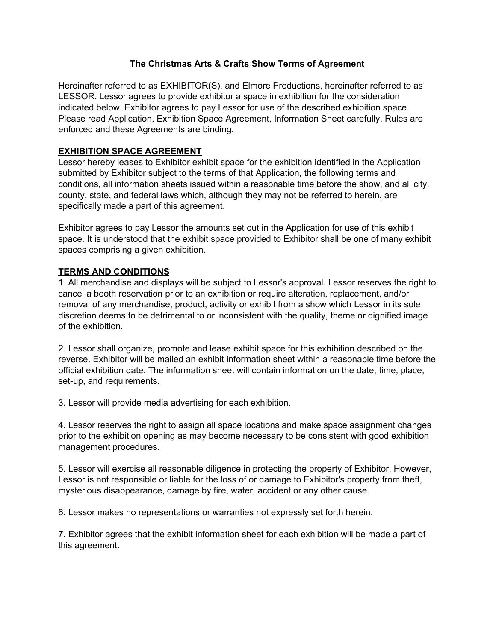## **The Christmas Arts & Crafts Show Terms of Agreement**

Hereinafter referred to as EXHIBITOR(S), and Elmore Productions, hereinafter referred to as LESSOR. Lessor agrees to provide exhibitor a space in exhibition for the consideration indicated below. Exhibitor agrees to pay Lessor for use of the described exhibition space. Please read Application, Exhibition Space Agreement, Information Sheet carefully. Rules are enforced and these Agreements are binding.

## **EXHIBITION SPACE AGREEMENT**

Lessor hereby leases to Exhibitor exhibit space for the exhibition identified in the Application submitted by Exhibitor subject to the terms of that Application, the following terms and conditions, all information sheets issued within a reasonable time before the show, and all city, county, state, and federal laws which, although they may not be referred to herein, are specifically made a part of this agreement.

Exhibitor agrees to pay Lessor the amounts set out in the Application for use of this exhibit space. It is understood that the exhibit space provided to Exhibitor shall be one of many exhibit spaces comprising a given exhibition.

## **TERMS AND CONDITIONS**

1. All merchandise and displays will be subject to Lessor's approval. Lessor reserves the right to cancel a booth reservation prior to an exhibition or require alteration, replacement, and/or removal of any merchandise, product, activity or exhibit from a show which Lessor in its sole discretion deems to be detrimental to or inconsistent with the quality, theme or dignified image of the exhibition.

2. Lessor shall organize, promote and lease exhibit space for this exhibition described on the reverse. Exhibitor will be mailed an exhibit information sheet within a reasonable time before the official exhibition date. The information sheet will contain information on the date, time, place, set-up, and requirements.

3. Lessor will provide media advertising for each exhibition.

4. Lessor reserves the right to assign all space locations and make space assignment changes prior to the exhibition opening as may become necessary to be consistent with good exhibition management procedures.

5. Lessor will exercise all reasonable diligence in protecting the property of Exhibitor. However, Lessor is not responsible or liable for the loss of or damage to Exhibitor's property from theft, mysterious disappearance, damage by fire, water, accident or any other cause.

6. Lessor makes no representations or warranties not expressly set forth herein.

7. Exhibitor agrees that the exhibit information sheet for each exhibition will be made a part of this agreement.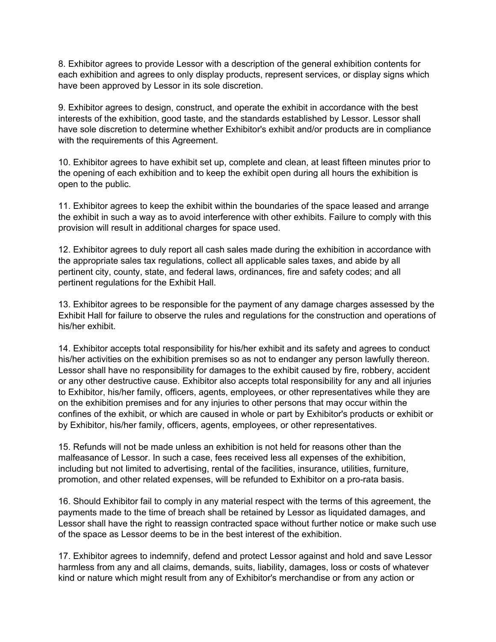8. Exhibitor agrees to provide Lessor with a description of the general exhibition contents for each exhibition and agrees to only display products, represent services, or display signs which have been approved by Lessor in its sole discretion.

9. Exhibitor agrees to design, construct, and operate the exhibit in accordance with the best interests of the exhibition, good taste, and the standards established by Lessor. Lessor shall have sole discretion to determine whether Exhibitor's exhibit and/or products are in compliance with the requirements of this Agreement.

10. Exhibitor agrees to have exhibit set up, complete and clean, at least fifteen minutes prior to the opening of each exhibition and to keep the exhibit open during all hours the exhibition is open to the public.

11. Exhibitor agrees to keep the exhibit within the boundaries of the space leased and arrange the exhibit in such a way as to avoid interference with other exhibits. Failure to comply with this provision will result in additional charges for space used.

12. Exhibitor agrees to duly report all cash sales made during the exhibition in accordance with the appropriate sales tax regulations, collect all applicable sales taxes, and abide by all pertinent city, county, state, and federal laws, ordinances, fire and safety codes; and all pertinent regulations for the Exhibit Hall.

13. Exhibitor agrees to be responsible for the payment of any damage charges assessed by the Exhibit Hall for failure to observe the rules and regulations for the construction and operations of his/her exhibit.

14. Exhibitor accepts total responsibility for his/her exhibit and its safety and agrees to conduct his/her activities on the exhibition premises so as not to endanger any person lawfully thereon. Lessor shall have no responsibility for damages to the exhibit caused by fire, robbery, accident or any other destructive cause. Exhibitor also accepts total responsibility for any and all injuries to Exhibitor, his/her family, officers, agents, employees, or other representatives while they are on the exhibition premises and for any injuries to other persons that may occur within the confines of the exhibit, or which are caused in whole or part by Exhibitor's products or exhibit or by Exhibitor, his/her family, officers, agents, employees, or other representatives.

15. Refunds will not be made unless an exhibition is not held for reasons other than the malfeasance of Lessor. In such a case, fees received less all expenses of the exhibition, including but not limited to advertising, rental of the facilities, insurance, utilities, furniture, promotion, and other related expenses, will be refunded to Exhibitor on a pro-rata basis.

16. Should Exhibitor fail to comply in any material respect with the terms of this agreement, the payments made to the time of breach shall be retained by Lessor as liquidated damages, and Lessor shall have the right to reassign contracted space without further notice or make such use of the space as Lessor deems to be in the best interest of the exhibition.

17. Exhibitor agrees to indemnify, defend and protect Lessor against and hold and save Lessor harmless from any and all claims, demands, suits, liability, damages, loss or costs of whatever kind or nature which might result from any of Exhibitor's merchandise or from any action or